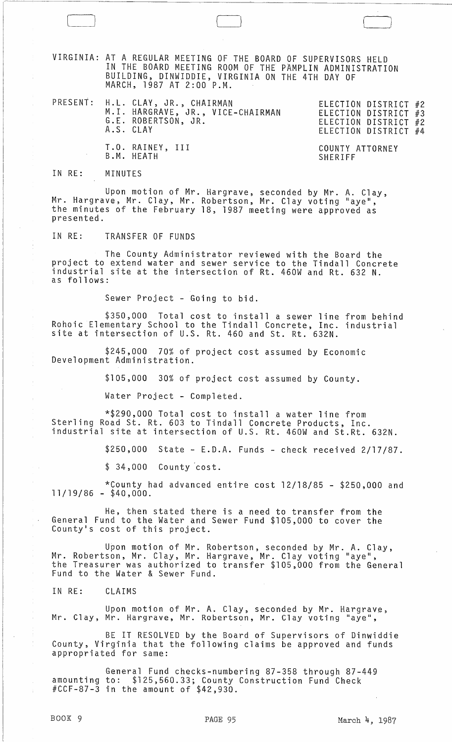VIRGINIA: AT A REGULAR MEETING OF THE BOARD OF SUPERVISORS HELD IN THE BOARD MEETING ROOM OF THE PAMPLIN ADMINISTRATION BUILDING, DINWIDDIE, VIRGINIA ON THE 4TH DAY OF MARCH, 1987 AT 2:00 P.M.

 $\Box$ 

PRESENT: H.L. CLAY, JR., CHAIRMAN ELECTION DISTRICT #2 ELECTION DISTRICT #3 ELECTION DISTRICT #2 ELECTION DISTRICT #4 M.I. HARGRAVE, JR., VICE-CHAIRMAN G.E. ROBERTSON, JR. A.S. CLAY T.O. RAINEY, III B.M. HEATH COUNTY ATTORNEY SHERIFF

IN RE: MINUTES

Upon motion of Mr. Hargrave, seconded by Mr. A. Clay, Mr. Hargrave, Mr. Clay, Mr. Robertson, Mr. Clay voting "aye", the minutes of the February 18, 1987 meeting were approved as presented.

IN RE: TRANSFER OF FUNDS

The County Administrator reviewed with the Board the project to extend water and sewer service to the Tindall Concrete industrial site at the intersection of Rt. 460W and Rt. 632 N. as follows:

Sewer Project - Going to bid.

\$350,000 Total cost to install a sewer line from behind Rohoic Elementary School to the Tindall Concrete, Inc. industrial site at intersection of U.S. Rt. 460 and St. Rt. 632N.

\$245,000 70% of project cost assumed by Economic Development Administration.

\$105,000 30% of project cost assumed by County.

Water Project - Completed.

\*\$290,QOO Total cost to install a water line from Sterling Road St. Rt. 603 to Tindall Concrete Products, Inc. industrial site at intersection of U.S. Rt. 460W and St.Rt. 632N.

\$250,000 State - E.D.A. Funds - check received 2/17/87.

 $$34,000$  County  $cost.$ 

\*County had advanced entire cost 12/18/85 - \$250,000 and 11/19/86 - \$40,000.

He, then stated there is a need to transfer from the General Fund to the Water and Sewer Fund \$105,000 to cover the County's cost of this project.

Upon motion of Mr. Robertson, seconded by Mr. A. Clay, Mr. Robertson, Mr. Clay, Mr. Hargrave, Mr. Clay voting "aye", the Treasurer was authorized to transfer \$105,000 from the General Fund to the Water & Sewer Fund.

IN RE: CLAIMS

Upon motion of Mr. A. Clay, seconded by Mr. Hargrave, Mr. Clay, Mr. Hargrave, Mr. Robertson, Mr. Clay voting "aye",

BE IT RESOLVED by the Board of Supervisors of Dinwiddie County, Virginia that the following claims be approved and funds appropriated for same:

General Fund checks-numbering 87-358 through 87-449 amounting to: \$125,560.33; County Construction Fund Check  $\text{\#CCF-87--}\bar{3}$  in the amount of  $\$42,930$ .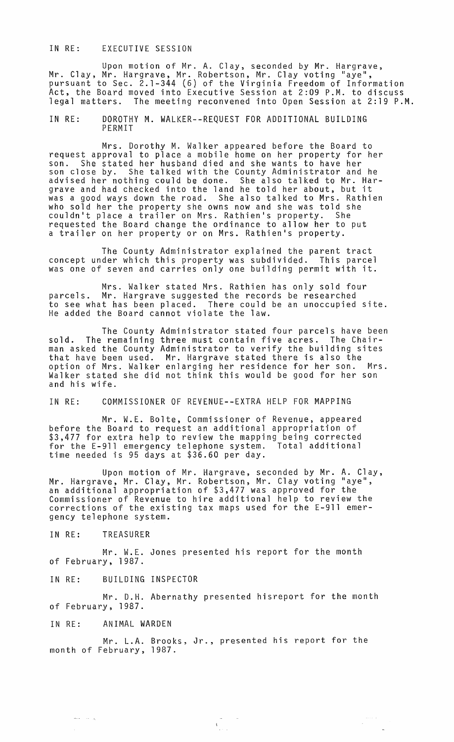## IN RE: EXECUTIVE SESSION

Upon motion of Mr. A. Clay, seconded by Mr. Hargrave,<br>Mr. Clay, Mr. Hargrave, Mr. Robertson, Mr. Clay voting "aye", pursuant to Sec. 2.1-344 (6) of the Virginia Freedom of Information Act, the Board moved into Executive Session at 2:09 P.M. to discuss legal matters. The meeting reconvened into Open Session at 2:19 P.M.

IN RE: DOROTHY M. WALKER--REQUEST FOR ADDITIONAL BUILDING PERMIT

Mrs. Dorothy M. Walker appeared before the Board to request approval to place a mobile home on her property for her son. She stated her husband died and she wants to have her son close by. She talked with the County Administrator and he advised her nothing could be done. She also talked to Mr. Hargrave and had checked into the land he told her about, but it was a good ways down the road. She also talked to Mrs. Rathien who sold her the property she owns now and she was told she couldn't place a trailer on Mrs. Rathien's property. She requested the Board change the ordinance to allow her to put a trailer on her property or on Mrs. Rathien's property.

The County Administrator explained the parent tract concept under which this property was subdivided. This parcel was one of seven and carries only one building permit with it.

Mrs. Walker stated Mrs. Rathien has only sold four parcels. Mr. Hargrave suggested the records be researched to see what has been placed. There could be an unoccupied site. He added the Board cannot violate the law.

The County Administrator stated four parcels have been sold. The remaining three must contain five acres. The Chairman asked the County Administrator to verify the building sites that have been used. Mr. Hargrave stated there is also the option of Mrs. Walker enlarging her residence for her son. Mrs. Walker stated she did not think this would be good for her son and his wife.

IN RE: COMMISSIONER OF REVENUE--EXTRA HELP FOR MAPPING

Mr. W.E. Bolte, Commissioner of Revenue, appeared before the Board to request an additional appropriation of \$3,477 for extra help to review the mapping being corrected<br>for the E-911 emergency telephone system. Total additional for the E-911 emergency telephone system. Total additional time needed is 95 days at \$36.60 per day.

Upon motion of Mr. Hargrave, seconded by Mr. A. Clay, Mr. Hargrave, Mr. Clay, Mr. Robertson, Mr. Clay voting "aye",<br>an additional appropriation of \$3,477 was approved for the Commissioner of Revenue to hire additional help to review the corrections of the existing tax maps used for the E-9l1 emergency telephone system.

IN RE: TREASURER

Mr. W.E. Jones presented his report for the month of February, 1987.

IN RE: BUILDING INSPECTOR

Mr. D.H. Abernathy presented hisreport for the month of February, 1987.

IN RE: ANIMAL WARDEN

 $\frac{1}{2}$  ,  $\frac{1}{2}$  ,  $\frac{1}{2}$  ,  $\frac{1}{2}$ 

Mr. L.A. Brooks, Jr., presented his report for the month of February, 1987.

 $\frac{1}{\sqrt{2\pi}}\sum_{i=1}^{n-1}\frac{1}{i} \left( \frac{1}{\sqrt{2\pi}}\right)^{i} \frac{1}{i} \left( \frac{1}{\sqrt{2\pi}}\right)^{i} \frac{1}{i} \left( \frac{1}{\sqrt{2\pi}}\right)^{i} \frac{1}{i} \left( \frac{1}{\sqrt{2\pi}}\right)^{i} \frac{1}{i} \left( \frac{1}{\sqrt{2\pi}}\right)^{i} \frac{1}{i} \left( \frac{1}{\sqrt{2\pi}}\right)^{i} \frac{1}{i} \left( \frac{1}{\sqrt{2\pi}}\right)^{i} \$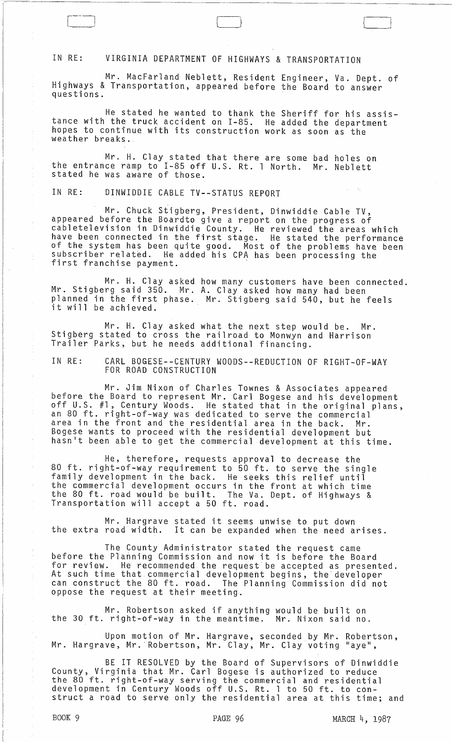## IN RE: VIRGINIA DEPARTMENT OF HIGHWAYS & TRANSPORTATION

Mr. MacFarland Neblett, Resident Engineer, Va. Dept. of Highways & Transportation, appeared before the Board to answer questions.

He stated he wanted to thank the Sheriff for his assistance with the truck accident on I-85. He added the department<br>hopes to continue with its construction work as soon as the hopes to continue with its construction work as soon as the<br>weather breaks.

Mr. H. Clay stated that there are some bad holes on the entrance ramp to 1-85 off u.S. Rt. 1 North. Mr. Neblett stated he was aware of those.

IN RE: DINWIDDIE CABLE TV--STATUS REPORT

Mr. Chuck Stigberg, President, Dinwiddie Cable TV, appeared before the Boardto give a report on the progress of cabletelevision in Dinwiddie County. He reviewed the areas which revere connected in the first stage. He reviewed the areas which<br>have been connected in the first stage. He stated the performance<br>of the system has been quite good. Most of the problems have been subscriber related. He added his CPA has been processing the first franchise payment.

Mr. H. Clay asked Mr. Stigberg said 350. Mr. planned in the first phase. how many customers have been connected. A. Clay asked how many had been planned in the first phase. Mr. Stigberg said 540, but he feels<br>it will be achieved.

Mr. H. Clay asked what the next step would be. Mr. Stigberg stated to cross the railroad to Monwyn and Harrison Trailer Parks, but he needs additional financing.

IN RE: CARL BOGESE--CENTURY WOODS--REDUCTION OF RIGHT-OF-WAY FOR ROAD CONSTRUCTION

Mr. Jim Nixon of Charles Townes & Associates appeared<br>before the Board to represent Mr. Carl Bogese and his development<br>off U.S. #1, Century Woods. He stated that in the original plans, an 80 ft. right-of-way was dedicated to serve the commercial area in the front and the residential area in the back. Bogese wants to proceed with the residential development but hasn't been able to get the commercial development at this time.

He, therefore, requests approval to decrease the 80 ft. right-of-way requirement to 50 ft. to serve the single family development in the back. He seeks this relief until the commercial development occurs in the front at which time the 80 ft. road wbuld be built. The Va. Dept. of Highways & Transportation will accept a 50 ft. road.

Mr. Hargrave stated it seems unwise to put down the extra road width. It can be expanded when the need arises.

The County Administrator stated the request came before the Planning Commission and now it is before the Board for review. He recommended the request be accepted as presented. At such time that commercial development begins, the developer can construct the 80 ft. road. The Planning Commission did not oppose the request at their meeting.

Mr. Robertson asked if anything would be built on<br>right-of-way in the meantime. Mr. Nixon said no. the 30 ft. right-of-way in the meantime.

Upon motion of Mr. Hargrave, seconded by Mr. Robertson, Mr. Hargrave, Mr. Robertson, Mr. Clay, Mr. Clay voting "aye",

BE IT RESOLVED by the Board of Supervisors of Dinwiddie County, Virginia that Mr. Carl Bogese is authorized to reduce the 80 ft. right-of-way serving the commercial and residential development in Century Woods off U.S. Rt. 1 to 50 ft. to construct a road to serve only the residential area at this time; and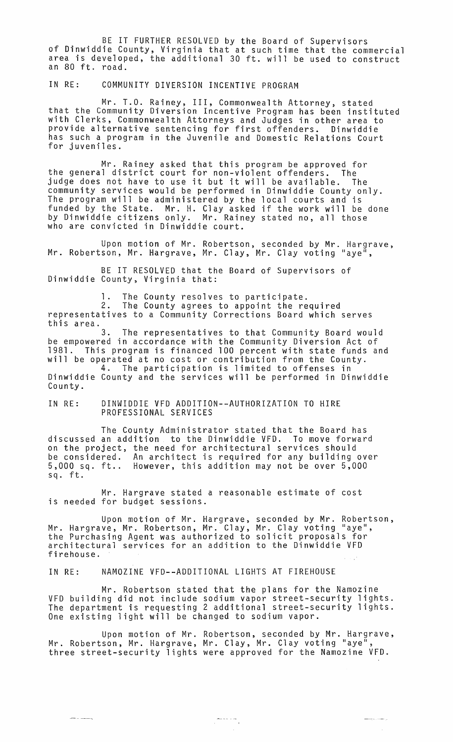BE IT FURTHER RESOLVED by the Board of Supervisors of Dinwiddie County, Virginia that at such time that the commercial area is developed, the additional 30 ft. will be used to construct an 80 ft. road.

IN RE: COMMUNITY DIVERSION INCENTIVE PROGRAM

Mr. T.O. Rainey, III, Commonwealth Attorney, stated that the Community Diversion Incentive Program has been instituted with Clerks, Commonwealth Attorneys and Judges in other area to provide alternative sentencing for first offenders. Dinwiddie has such a program in the Juvenile and Domestic Relations Court for juveniles.

Mr. Rainey asked that this program be approved for the general district court for non-violent offenders. The judge does not have to use it but it will be available. The community services would be performed in Dinwiddie County only. The program will be administered by the local courts and is funded by the State. Mr. H. Clay asked if the work will be done by Dinwiddie citizens only. Mr. Rainey stated no, all those who are convicted in Dinwiddie court.

Upon motion of Mr. Robertson, seconded by Mr. Hargrave, Mr. Robertson, Mr. Hargrave, Mr. Clay, Mr. Clay voting "aye<sup>n</sup>,

BE IT RESOLVED that the Board of Supervisors of Dinwiddie County, Virginia that:

The County resolves to participate.

2. The County agrees to appoint the required representatives to a Community Corrections Board which serves this area.

3. The representatives to that Community Board would be empowered in accordance with the Community Diversion Act of 1981. This program is financed 100 percent with state funds and will be operated at no cost or contribution from the County.

4. The participation is limited to offenses in Dinwiddie County and the services will be performed in Dinwiddie County.

IN RE: DINWIDDIE VFD ADDITION--AUTHORIZATION TO HIRE PROFESSIONAL SERVICES

The County Administrator stated that the Board has discussed an addition to the Dinwiddie VFD. To move forward on the project, the need for architectural services should be considered. An architect is required for any building over 5,000 sq. ft .. However, this addition may not be over 5,000 sq. ft.

Mr. Hargrave stated a reasonable estimate of cost is needed for budget sessions.

Upon motion of Mr. Hargrave, seconded by Mr. Robertson, Mr. Hargrave, Mr. Robertson, Mr. Clay, Mr. Clay voting "aye", the Purchasing Agent was authorized to solicit proposals for architectural services for an addition to the Dinwiddie VFD firehouse.

IN RE: NAMOZINE VFD--ADDITIONAL LIGHTS AT FIREHOUSE

Mr. Robertson stated that the plans for the Namozine VFD building did not include sodium vapor street-security lights. The department is requesting 2 additional street-security lights. One existing light will be changed to sodium vapor.

Upon motion of Mr. Robertson, seconded by Mr. Hargrave, Mr. Robertson, Mr. Hargrave, Mr. Clay, Mr. Clay voting "aye", three street-security lights were approved for the Namozine VFD.

 $\frac{1}{\sqrt{2}}$  and  $\frac{1}{\sqrt{2}}$  . The set of  $\frac{1}{\sqrt{2}}$ 

 $\label{eq:reduced} \begin{split} \mathcal{L}_{\text{invariant}}(\mathcal{L}_{\text{out}}, \mathcal{L}_{\text{out}}, \mathcal{L}_{\text{out}}) = \mathcal{L}_{\text{out}}(\mathcal{L}_{\text{out}}) \end{split}$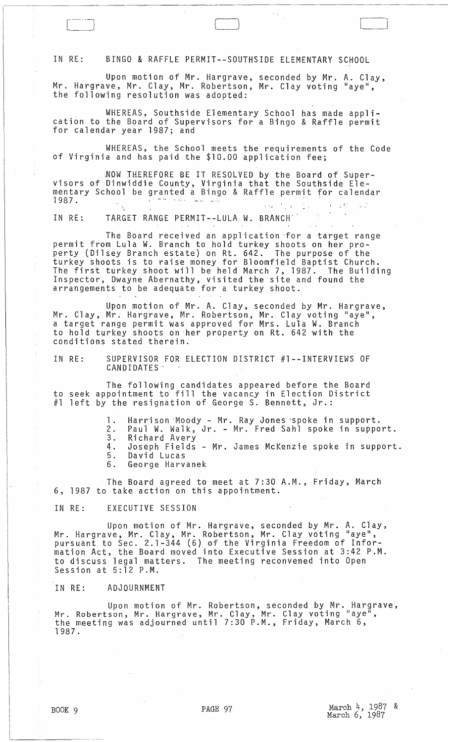IN RE: BINGO & RAFFLE PERMIT--SOUTHSIDE ELEMENTARY SCHOOL

Upon motion of Mr. Hargrave, seconded by Mr. A. Clay, Mr. Hargrave, Mr. Clay, Mr. Robertson, Mr. Clay voting "aye", the following resolution was adopted:

LJ

WHEREAS, Southside Elementary School has made application to the Board of Supervisors for a Bingo & Raffle permit for calendar year 1987; and

WHEREAS, the School meets the requirements of the Code of Virginia and has paid the \$10.00 application fee;

NOW THEREFORE BE IT RESOLVED by the Board of Super-<br>visors of Dinwiddie County, Virginia that the Southside Ele-<br>mentary School be granted a Bingo & Raffle permit for calendar<br>1987.

IN RE: TARGET RANGE PERMIT--LULA W. BRANCH"

The Board received an application 'for a target range permit from Lula W. Branch to hold turkey shoots on her property (Dilsey Branch estate) on Rt. 642. The purpose of the turkey shoots is to raise money for Bloomfield Baptist Church. The first turkey shoot will be held March 7, 1987. The Building Inspector, Dwayne Abernathy, visited the site and found the arrangements to be adequate for a turkey shoot.

Upon motion of Mr. A. Clay, seconded by Mr. Hargrave, Mr. Clay, Mr. Hargrave, Mr. Robertson, Mr. Clay voting "aye", a target range permit was approved for Mrs. Lula W. Branch to hold turkey shoots on 'her property on Rt. 642 with the conditions stated therein.

IN RE: SUPERVISOR FOR ELECTION DISTRICT #l--INTERVIEWS OF CANDIDATES'

The following candidates appeared before the Board to seek appointment to fill the vacancy in Election District #1 left by the resignation of George S. Bennett, Jr.:

- 1. Harrison 'Moody Mr. Ray Jones 'spoke in support.
- 2. Paul W. Walk, Jr. Mr. Fred Sahl spoke in support. 2. Paul W. Walk,<br>3. Richard Avery
- 
- 4. Joseph Fields Mr. James McKenzie spoke in support.<br>5. David Lucas
- 5. David Lucas 6. George Harvanek

The Board agreed to meet at 7:30 A.M., Friday, March 6, 1987 to take action on this appointment.

IN RE: EXECUTIVE SESSION.

Upon motion of Mr. Hargrave, seconded by Mr. A. Clay, Mr. Hargrave, Mr. Clay, Mr. Robertson, Mr. Clay voting "aye", pursuant to Sec. 2.1-344 (6) of the Virginia Freedom of Information Act, the Board moved into Executive Session at 3:42 P.M. to discuss legal matters. The meeting reconvened into Open Session at 5:12 P.M.

IN RE: ADJOURNMENT

Upon motion of Mr. Robertson, seconded by Mr. Hargrave, Mr. Robertson, Mr. Hargrave, Mr. Clay, Mr. Clay voting "aye<sup>m</sup>,<br>the meeting was adjourned until 7:30 P.M., Friday, March 6, 1987.

 $\frac{1}{2}$